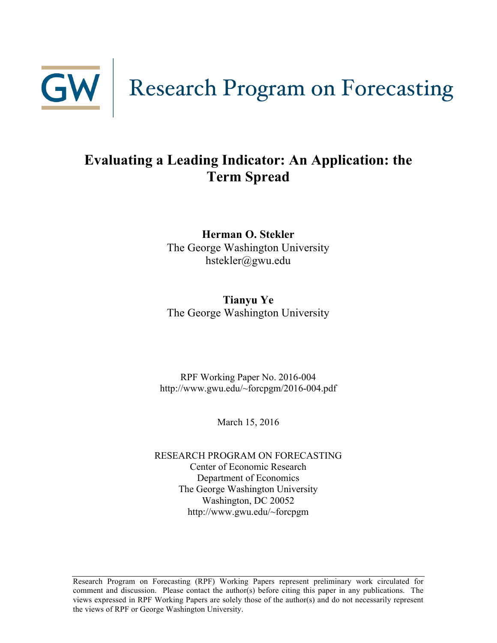

### **Evaluating a Leading Indicator: An Application: the Term Spread**

**Herman O. Stekler** The George Washington University hstekler@gwu.edu

**Tianyu Ye** The George Washington University

RPF Working Paper No. 2016-004 http://www.gwu.edu/~forcpgm/2016-004.pdf

March 15, 2016

RESEARCH PROGRAM ON FORECASTING Center of Economic Research Department of Economics The George Washington University Washington, DC 20052 http://www.gwu.edu/~forcpgm

Research Program on Forecasting (RPF) Working Papers represent preliminary work circulated for comment and discussion. Please contact the author(s) before citing this paper in any publications. The views expressed in RPF Working Papers are solely those of the author(s) and do not necessarily represent the views of RPF or George Washington University.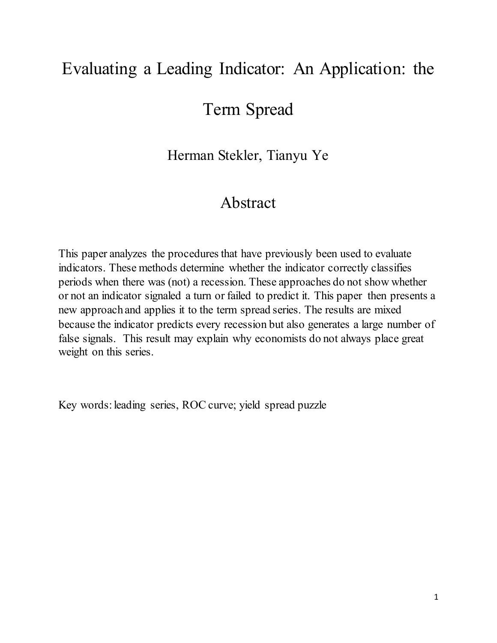# Evaluating a Leading Indicator: An Application: the

## Term Spread

Herman Stekler, Tianyu Ye

## Abstract

This paper analyzes the procedures that have previously been used to evaluate indicators. These methods determine whether the indicator correctly classifies periods when there was (not) a recession. These approaches do not show whether or not an indicator signaled a turn or failed to predict it. This paper then presents a new approach and applies it to the term spread series. The results are mixed because the indicator predicts every recession but also generates a large number of false signals. This result may explain why economists do not always place great weight on this series.

Key words: leading series, ROC curve; yield spread puzzle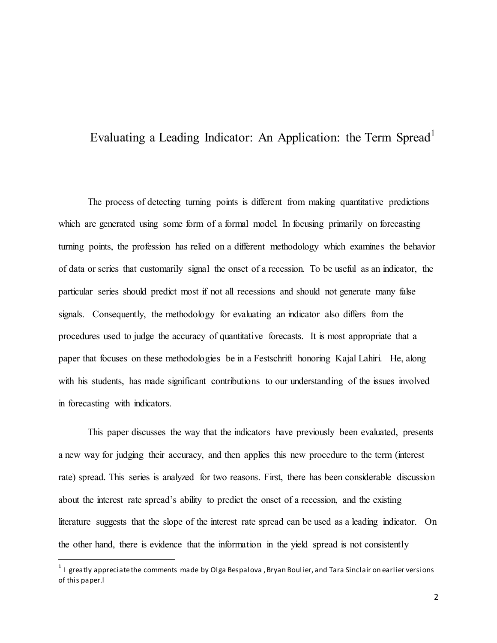#### Evaluating a Leading Indicator: An Application: the Term Spread<sup>[1](#page-2-0)</sup>

The process of detecting turning points is different from making quantitative predictions which are generated using some form of a formal model. In focusing primarily on forecasting turning points, the profession has relied on a different methodology which examines the behavior of data or series that customarily signal the onset of a recession. To be useful as an indicator, the particular series should predict most if not all recessions and should not generate many false signals. Consequently, the methodology for evaluating an indicator also differs from the procedures used to judge the accuracy of quantitative forecasts. It is most appropriate that a paper that focuses on these methodologies be in a Festschrift honoring Kajal Lahiri. He, along with his students, has made significant contributions to our understanding of the issues involved in forecasting with indicators.

This paper discusses the way that the indicators have previously been evaluated, presents a new way for judging their accuracy, and then applies this new procedure to the term (interest rate) spread. This series is analyzed for two reasons. First, there has been considerable discussion about the interest rate spread's ability to predict the onset of a recession, and the existing literature suggests that the slope of the interest rate spread can be used as a leading indicator. On the other hand, there is evidence that the information in the yield spread is not consistently

<span id="page-2-0"></span> $1$  I greatly appreciate the comments made by Olga Bespalova, Bryan Boulier, and Tara Sinclair on earlier versions of this paper.l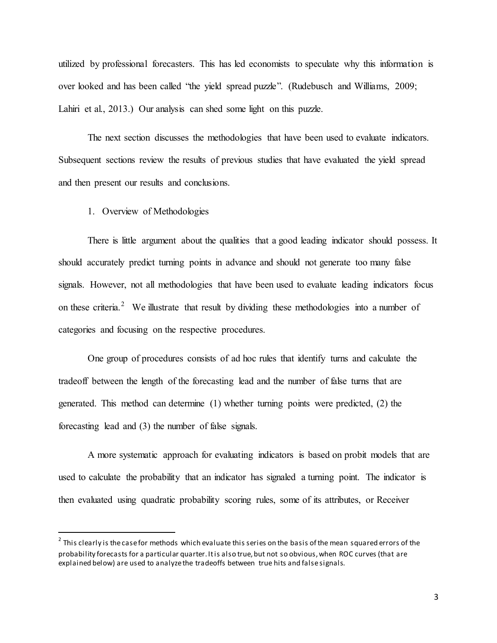utilized by professional forecasters. This has led economists to speculate why this information is over looked and has been called "the yield spread puzzle". (Rudebusch and Williams, 2009; Lahiri et al., 2013.) Our analysis can shed some light on this puzzle.

The next section discusses the methodologies that have been used to evaluate indicators. Subsequent sections review the results of previous studies that have evaluated the yield spread and then present our results and conclusions.

1. Overview of Methodologies

There is little argument about the qualities that a good leading indicator should possess. It should accurately predict turning points in advance and should not generate too many false signals. However, not all methodologies that have been used to evaluate leading indicators focus on these criteria.<sup>[2](#page-3-0)</sup> We illustrate that result by dividing these methodologies into a number of categories and focusing on the respective procedures.

One group of procedures consists of ad hoc rules that identify turns and calculate the tradeoff between the length of the forecasting lead and the number of false turns that are generated. This method can determine (1) whether turning points were predicted, (2) the forecasting lead and (3) the number of false signals.

A more systematic approach for evaluating indicators is based on probit models that are used to calculate the probability that an indicator has signaled a turning point. The indicator is then evaluated using quadratic probability scoring rules, some of its attributes, or Receiver

<span id="page-3-0"></span> $2$  This clearly is the case for methods which evaluate this series on the basis of the mean squared errors of the probability forecasts for a particular quarter. It is also true, but not so obvious, when ROC curves (that are explained below) are used to analyze the tradeoffs between true hits and false signals.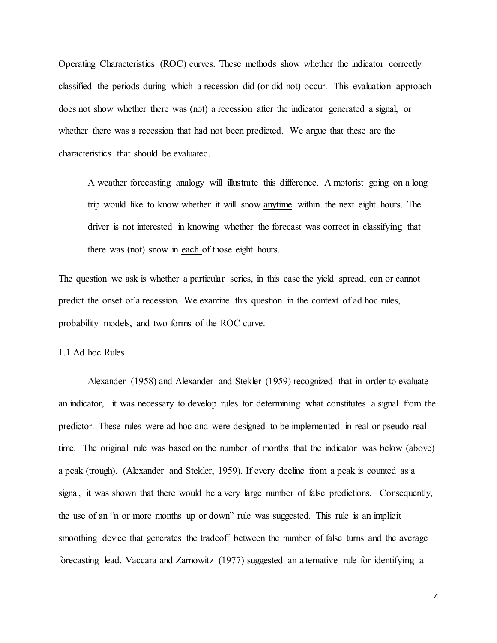Operating Characteristics (ROC) curves. These methods show whether the indicator correctly classified the periods during which a recession did (or did not) occur. This evaluation approach does not show whether there was (not) a recession after the indicator generated a signal, or whether there was a recession that had not been predicted. We argue that these are the characteristics that should be evaluated.

A weather forecasting analogy will illustrate this difference. A motorist going on a long trip would like to know whether it will snow anytime within the next eight hours. The driver is not interested in knowing whether the forecast was correct in classifying that there was (not) snow in each of those eight hours.

The question we ask is whether a particular series, in this case the yield spread, can or cannot predict the onset of a recession. We examine this question in the context of ad hoc rules, probability models, and two forms of the ROC curve.

1.1 Ad hoc Rules

Alexander (1958) and Alexander and Stekler (1959) recognized that in order to evaluate an indicator, it was necessary to develop rules for determining what constitutes a signal from the predictor. These rules were ad hoc and were designed to be implemented in real or pseudo-real time. The original rule was based on the number of months that the indicator was below (above) a peak (trough). (Alexander and Stekler, 1959). If every decline from a peak is counted as a signal, it was shown that there would be a very large number of false predictions. Consequently, the use of an "n or more months up or down" rule was suggested. This rule is an implicit smoothing device that generates the tradeoff between the number of false turns and the average forecasting lead. Vaccara and Zarnowitz (1977) suggested an alternative rule for identifying a

4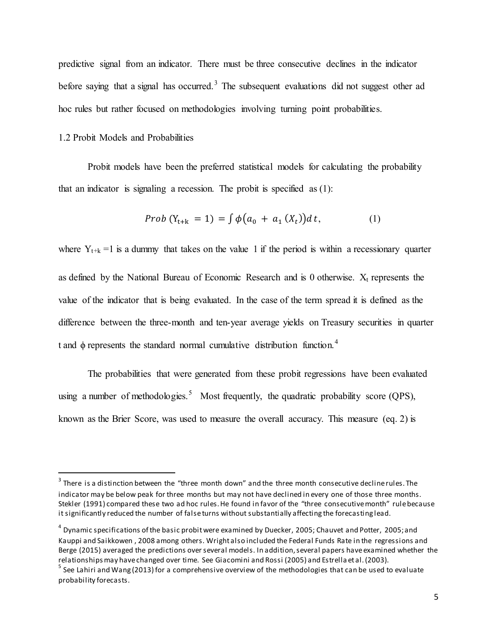predictive signal from an indicator. There must be three consecutive declines in the indicator before saying that a signal has occurred.<sup>[3](#page-5-0)</sup> The subsequent evaluations did not suggest other ad hoc rules but rather focused on methodologies involving turning point probabilities.

#### 1.2 Probit Models and Probabilities

Probit models have been the preferred statistical models for calculating the probability that an indicator is signaling a recession. The probit is specified as (1):

*Prob* (Y<sub>t+k</sub> = 1) = 
$$
\int \phi(a_0 + a_1(X_t)) dt
$$
, (1)

where  $Y_{t+k} = 1$  is a dummy that takes on the value 1 if the period is within a recessionary quarter as defined by the National Bureau of Economic Research and is 0 otherwise.  $X_t$  represents the value of the indicator that is being evaluated. In the case of the term spread it is defined as the difference between the three-month and ten-year average yields on Treasury securities in quarter t and  $\phi$  represents the standard normal cumulative distribution function.<sup>[4](#page-5-1)</sup>

The probabilities that were generated from these probit regressions have been evaluated using a number of methodologies.<sup>[5](#page-5-2)</sup> Most frequently, the quadratic probability score (QPS), known as the Brier Score, was used to measure the overall accuracy. This measure (eq. 2) is

<span id="page-5-0"></span> $3$  There is a distinction between the "three month down" and the three month consecutive decline rules. The indicator may be below peak for three months but may not have declined in every one of those three months. Stekler (1991) compared these two ad hoc rules. He found in favor of the "three consecutive month" rule because it significantly reduced the number of false turns without substantially affecting the forecasting lead.

<span id="page-5-1"></span> $4$  Dynamic specifications of the basic probit were examined by Duecker, 2005; Chauvet and Potter, 2005; and Kauppi and Saikkowen , 2008 among others. Wright also included the Federal Funds Rate in the regressions and Berge (2015) averaged the predictions over several models. In addition, several papers have examined whether the relationships may have changed over time. See Giacomini and Rossi (2005) and Estrella et al. (2003).

<span id="page-5-2"></span> $<sup>5</sup>$  See Lahiri and Wang (2013) for a comprehensive overview of the methodologies that can be used to evaluate</sup> probability forecasts.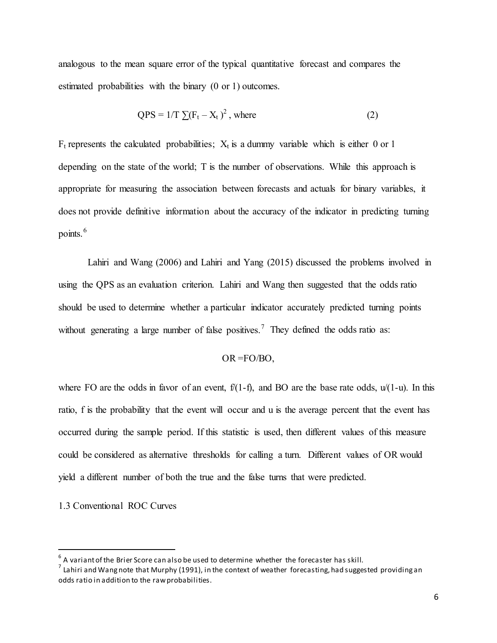analogous to the mean square error of the typical quantitative forecast and compares the estimated probabilities with the binary (0 or 1) outcomes.

$$
QPS = 1/T \sum (F_t - X_t)^2
$$
, where (2)

 $F_t$  represents the calculated probabilities;  $X_t$  is a dummy variable which is either 0 or 1 depending on the state of the world; T is the number of observations. While this approach is appropriate for measuring the association between forecasts and actuals for binary variables, it does not provide definitive information about the accuracy of the indicator in predicting turning points.<sup>[6](#page-6-0)</sup>

Lahiri and Wang (2006) and Lahiri and Yang (2015) discussed the problems involved in using the QPS as an evaluation criterion. Lahiri and Wang then suggested that the odds ratio should be used to determine whether a particular indicator accurately predicted turning points without generating a large number of false positives.<sup>[7](#page-6-1)</sup> They defined the odds ratio as:

$$
OR = FO/BO,
$$

where FO are the odds in favor of an event,  $f(1-f)$ , and BO are the base rate odds,  $u/(1-u)$ . In this ratio, f is the probability that the event will occur and u is the average percent that the event has occurred during the sample period. If this statistic is used, then different values of this measure could be considered as alternative thresholds for calling a turn. Different values of OR would yield a different number of both the true and the false turns that were predicted.

1.3 Conventional ROC Curves

 $6$  A variant of the Brier Score can also be used to determine whether the forecaster has skill.

<span id="page-6-1"></span><span id="page-6-0"></span><sup>7</sup> Lahiri and Wang note that Murphy (1991), in the context of weather forecasting, had suggested providing an odds ratio in addition to the raw probabilities.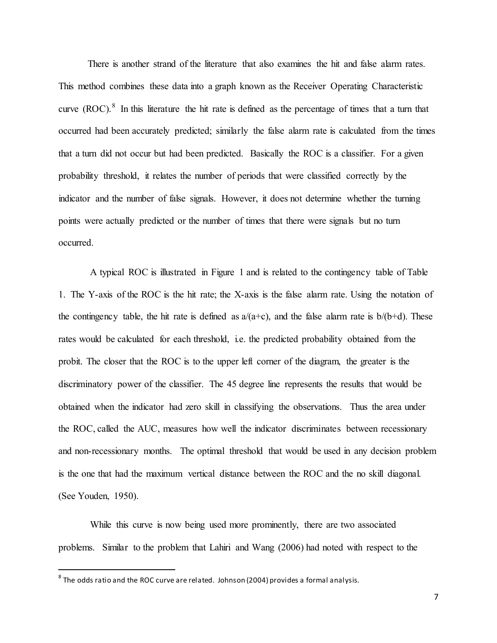There is another strand of the literature that also examines the hit and false alarm rates. This method combines these data into a graph known as the Receiver Operating Characteristic curve  $(ROC)$ .<sup>[8](#page-7-0)</sup> In this literature the hit rate is defined as the percentage of times that a turn that occurred had been accurately predicted; similarly the false alarm rate is calculated from the times that a turn did not occur but had been predicted. Basically the ROC is a classifier. For a given probability threshold, it relates the number of periods that were classified correctly by the indicator and the number of false signals. However, it does not determine whether the turning points were actually predicted or the number of times that there were signals but no turn occurred.

A typical ROC is illustrated in Figure 1 and is related to the contingency table of Table 1. The Y-axis of the ROC is the hit rate; the X-axis is the false alarm rate. Using the notation of the contingency table, the hit rate is defined as  $a/(a+c)$ , and the false alarm rate is  $b/(b+d)$ . These rates would be calculated for each threshold, i.e. the predicted probability obtained from the probit. The closer that the ROC is to the upper left corner of the diagram, the greater is the discriminatory power of the classifier. The 45 degree line represents the results that would be obtained when the indicator had zero skill in classifying the observations. Thus the area under the ROC, called the AUC, measures how well the indicator discriminates between recessionary and non-recessionary months. The optimal threshold that would be used in any decision problem is the one that had the maximum vertical distance between the ROC and the no skill diagonal. (See Youden, 1950).

While this curve is now being used more prominently, there are two associated problems. Similar to the problem that Lahiri and Wang (2006) had noted with respect to the

<span id="page-7-0"></span> $8$  The odds ratio and the ROC curve are related. Johnson (2004) provides a formal analysis.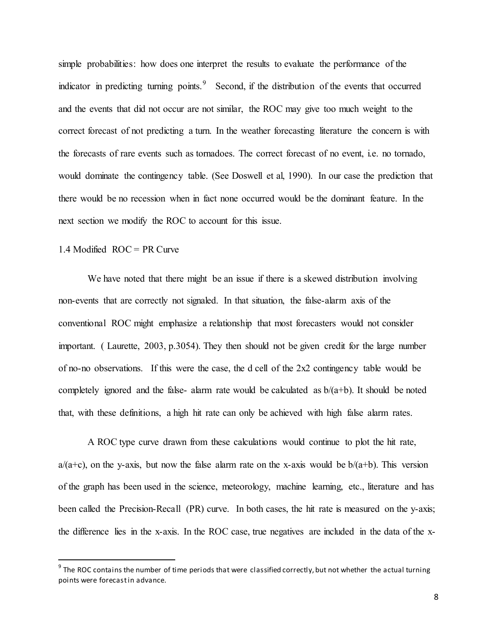simple probabilities: how does one interpret the results to evaluate the performance of the indicator in predicting turning points.<sup>[9](#page-8-0)</sup> Second, if the distribution of the events that occurred and the events that did not occur are not similar, the ROC may give too much weight to the correct forecast of not predicting a turn. In the weather forecasting literature the concern is with the forecasts of rare events such as tornadoes. The correct forecast of no event, i.e. no tornado, would dominate the contingency table. (See Doswell et al, 1990). In our case the prediction that there would be no recession when in fact none occurred would be the dominant feature. In the next section we modify the ROC to account for this issue.

#### 1.4 Modified ROC = PR Curve

We have noted that there might be an issue if there is a skewed distribution involving non-events that are correctly not signaled. In that situation, the false-alarm axis of the conventional ROC might emphasize a relationship that most forecasters would not consider important. ( Laurette, 2003, p.3054). They then should not be given credit for the large number of no-no observations. If this were the case, the d cell of the 2x2 contingency table would be completely ignored and the false- alarm rate would be calculated as  $b/(a+b)$ . It should be noted that, with these definitions, a high hit rate can only be achieved with high false alarm rates.

A ROC type curve drawn from these calculations would continue to plot the hit rate,  $a/(a+c)$ , on the y-axis, but now the false alarm rate on the x-axis would be  $b/(a+b)$ . This version of the graph has been used in the science, meteorology, machine learning, etc., literature and has been called the Precision-Recall (PR) curve. In both cases, the hit rate is measured on the y-axis; the difference lies in the x-axis. In the ROC case, true negatives are included in the data of the x-

<span id="page-8-0"></span> $9$  The ROC contains the number of time periods that were classified correctly, but not whether the actual turning points were forecastin advance.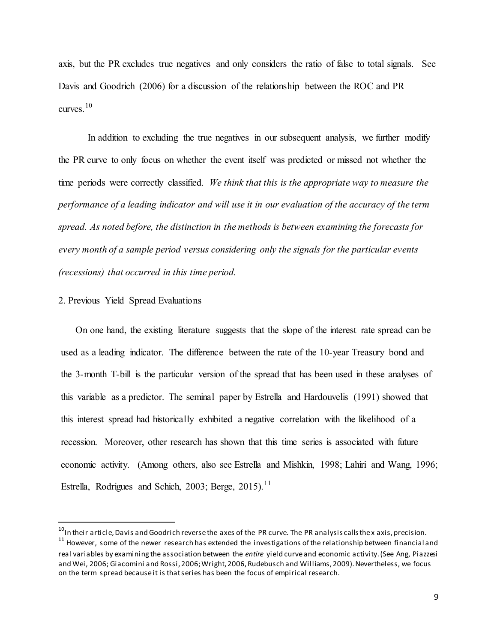axis, but the PR excludes true negatives and only considers the ratio of false to total signals. See Davis and Goodrich (2006) for a discussion of the relationship between the ROC and PR curves<sup>[10](#page-9-0)</sup>

In addition to excluding the true negatives in our subsequent analysis, we further modify the PR curve to only focus on whether the event itself was predicted or missed not whether the time periods were correctly classified. *We think that this is the appropriate way to measure the performance of a leading indicator and will use it in our evaluation of the accuracy of the term spread. As noted before, the distinction in the methods is between examining the forecasts for every month of a sample period versus considering only the signals for the particular events (recessions) that occurred in this time period.*

#### 2. Previous Yield Spread Evaluations

On one hand, the existing literature suggests that the slope of the interest rate spread can be used as a leading indicator. The difference between the rate of the 10-year Treasury bond and the 3-month T-bill is the particular version of the spread that has been used in these analyses of this variable as a predictor. The seminal paper by Estrella and Hardouvelis (1991) showed that this interest spread had historically exhibited a negative correlation with the likelihood of a recession. Moreover, other research has shown that this time series is associated with future economic activity. (Among others, also see Estrella and Mishkin, 1998; Lahiri and Wang, 1996; Estrella, Rodrigues and Schich, 2003; Berge, 2015).<sup>[11](#page-9-1)</sup>

<span id="page-9-1"></span><span id="page-9-0"></span> $^{10}$ In their article, Davis and Goodrich reverse the axes of the PR curve. The PR analysis calls the x axis, precision.<br> $^{11}$  However, some of the newer research has extended the investigations of the relationship betw real variables by examining the association between the *entire* yield curve and economic activity. (See Ang, Piazzesi and Wei, 2006; Giacomini and Rossi, 2006; Wright, 2006, Rudebusch and Williams, 2009). Nevertheless, we focus on the term spread because it is that series has been the focus of empirical research.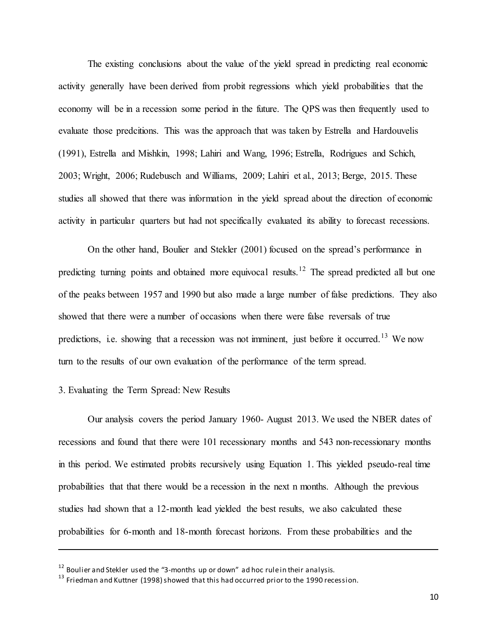The existing conclusions about the value of the yield spread in predicting real economic activity generally have been derived from probit regressions which yield probabilities that the economy will be in a recession some period in the future. The QPS was then frequently used to evaluate those predcitions. This was the approach that was taken by Estrella and Hardouvelis (1991), Estrella and Mishkin, 1998; Lahiri and Wang, 1996; Estrella, Rodrigues and Schich, 2003; Wright, 2006; Rudebusch and Williams, 2009; Lahiri et al., 2013; Berge, 2015. These studies all showed that there was information in the yield spread about the direction of economic activity in particular quarters but had not specifically evaluated its ability to forecast recessions.

On the other hand, Boulier and Stekler (2001) focused on the spread's performance in predicting turning points and obtained more equivocal results.<sup>[12](#page-10-0)</sup> The spread predicted all but one of the peaks between 1957 and 1990 but also made a large number of false predictions. They also showed that there were a number of occasions when there were false reversals of true predictions, i.e. showing that a recession was not imminent, just before it occurred.<sup>[13](#page-10-1)</sup> We now turn to the results of our own evaluation of the performance of the term spread.

#### 3. Evaluating the Term Spread: New Results

 $\overline{a}$ 

Our analysis covers the period January 1960- August 2013. We used the NBER dates of recessions and found that there were 101 recessionary months and 543 non-recessionary months in this period. We estimated probits recursively using Equation 1. This yielded pseudo-real time probabilities that that there would be a recession in the next n months. Although the previous studies had shown that a 12-month lead yielded the best results, we also calculated these probabilities for 6-month and 18-month forecast horizons. From these probabilities and the

<span id="page-10-1"></span>

<span id="page-10-0"></span><sup>&</sup>lt;sup>12</sup> Boulier and Stekler used the "3-months up or down" ad hoc rule in their analysis.<br><sup>13</sup> Friedman and Kuttner (1998) showed that this had occurred prior to the 1990 recession.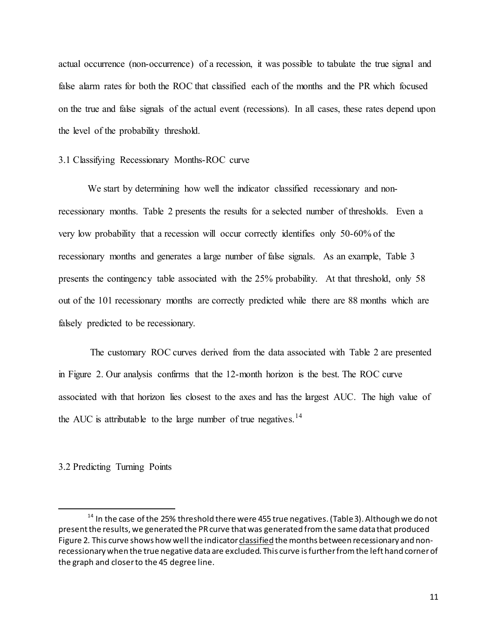actual occurrence (non-occurrence) of a recession, it was possible to tabulate the true signal and false alarm rates for both the ROC that classified each of the months and the PR which focused on the true and false signals of the actual event (recessions). In all cases, these rates depend upon the level of the probability threshold.

#### 3.1 Classifying Recessionary Months-ROC curve

We start by determining how well the indicator classified recessionary and nonrecessionary months. Table 2 presents the results for a selected number of thresholds. Even a very low probability that a recession will occur correctly identifies only 50-60% of the recessionary months and generates a large number of false signals. As an example, Table 3 presents the contingency table associated with the 25% probability. At that threshold, only 58 out of the 101 recessionary months are correctly predicted while there are 88 months which are falsely predicted to be recessionary.

The customary ROC curves derived from the data associated with Table 2 are presented in Figure 2. Our analysis confirms that the 12-month horizon is the best. The ROC curve associated with that horizon lies closest to the axes and has the largest AUC. The high value of the AUC is attributable to the large number of true negatives.<sup>[14](#page-11-0)</sup>

#### 3.2 Predicting Turning Points

<span id="page-11-0"></span> $14$  In the case of the 25% threshold there were 455 true negatives. (Table 3). Although we do not present the results, we generated the PR curve that was generated from the same data that produced Figure 2. This curve shows how well the indicator classified the months between recessionary and nonrecessionary when the true negative data are excluded. This curve is further from the left hand corner of the graph and closer to the 45 degree line.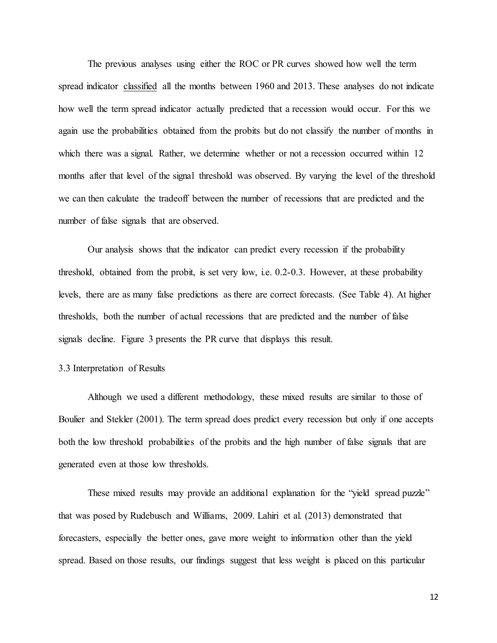The previous analyses using either the ROC or PR curves showed how well the term spread indicator classified all the months between 1960 and 2013. These analyses do not indicate how well the term spread indicator actually predicted that a recession would occur. For this we again use the probabilities obtained from the probits but do not classify the number of months in which there was a signal. Rather, we determine whether or not a recession occurred within 12 months after that level of the signal threshold was observed. By varying the level of the threshold we can then calculate the tradeoff between the number of recessions that are predicted and the number of false signals that are observed.

Our analysis shows that the indicator can predict every recession if the probability threshold, obtained from the probit, is set very low, i.e. 0.2-0.3. However, at these probability levels, there are as many false predictions as there are correct forecasts. (See Table 4). At higher thresholds, both the number of actual recessions that are predicted and the number of false signals decline. Figure 3 presents the PR curve that displays this result.

#### 3.3 Interpretation of Results

Although we used a different methodology, these mixed results are similar to those of Boulier and Stekler (2001). The term spread does predict every recession but only if one accepts both the low threshold probabilities of the probits and the high number of false signals that are generated even at those low thresholds.

These mixed results may provide an additional explanation for the "yield spread puzzle" that was posed by Rudebusch and Williams, 2009. Lahiri et al. (2013) demonstrated that forecasters, especially the better ones, gave more weight to information other than the yield spread. Based on those results, our findings suggest that less weight is placed on this particular

12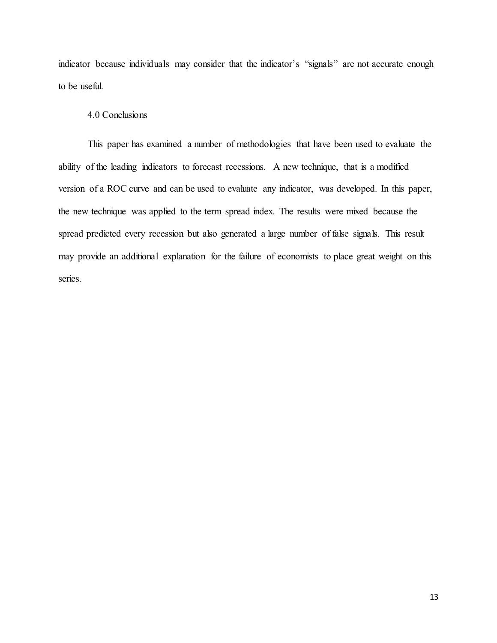indicator because individuals may consider that the indicator's "signals" are not accurate enough to be useful.

#### 4.0 Conclusions

This paper has examined a number of methodologies that have been used to evaluate the ability of the leading indicators to forecast recessions. A new technique, that is a modified version of a ROC curve and can be used to evaluate any indicator, was developed. In this paper, the new technique was applied to the term spread index. The results were mixed because the spread predicted every recession but also generated a large number of false signals. This result may provide an additional explanation for the failure of economists to place great weight on this series.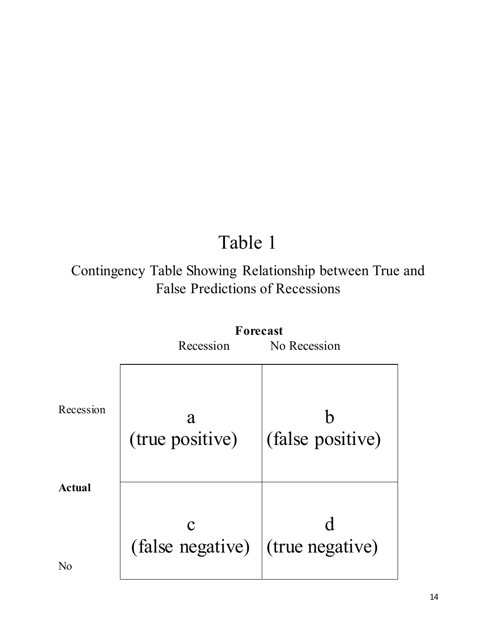## Table 1

## Contingency Table Showing Relationship between True and False Predictions of Recessions

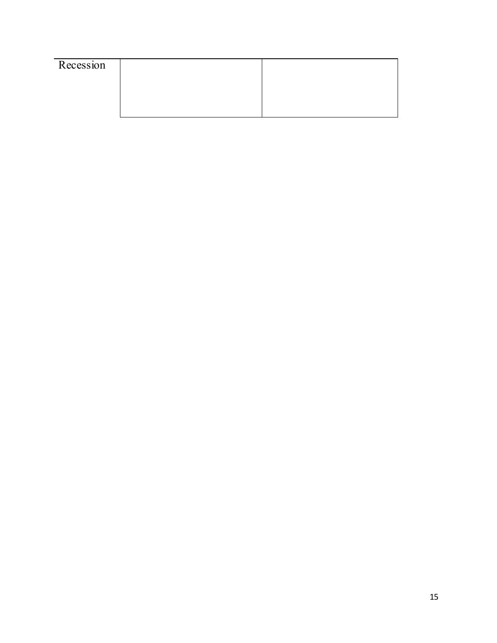| Recession |  |
|-----------|--|
|           |  |
|           |  |
|           |  |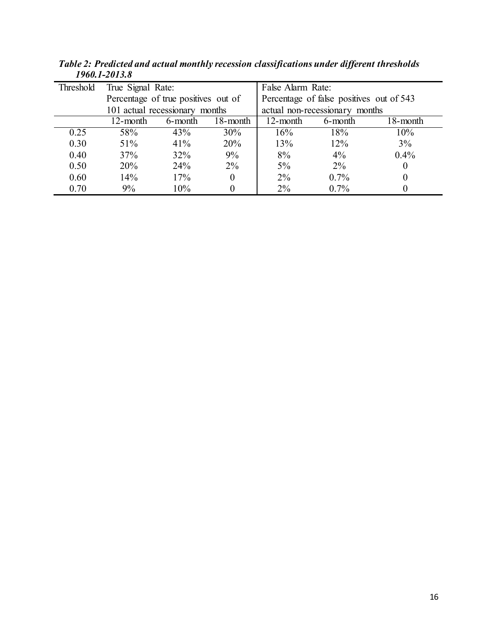| Threshold | True Signal Rate:                   |         |          | False Alarm Rate:                        |                                |          |
|-----------|-------------------------------------|---------|----------|------------------------------------------|--------------------------------|----------|
|           | Percentage of true positives out of |         |          | Percentage of false positives out of 543 |                                |          |
|           | 101 actual recessionary months      |         |          |                                          | actual non-recessionary months |          |
|           | 12-month                            | 6-month | 18-month | 12-month                                 | 6-month                        | 18-month |
| 0.25      | 58%                                 | 43%     | 30%      | 16%                                      | 18%                            | 10%      |
| 0.30      | 51%                                 | 41%     | 20%      | 13%                                      | $12\%$                         | 3%       |
| 0.40      | 37%                                 | 32%     | 9%       | 8%                                       | $4\%$                          | $0.4\%$  |
| 0.50      | 20%                                 | 24%     | $2\%$    | $5\%$                                    | $2\%$                          |          |
| 0.60      | 14%                                 | 17%     | $\theta$ | $2\%$                                    | $0.7\%$                        |          |
| 0.70      | 9%                                  | 10%     | 0        | $2\%$                                    | $0.7\%$                        |          |

*Table 2: Predicted and actual monthly recession classifications under different thresholds 1960.1-2013.8*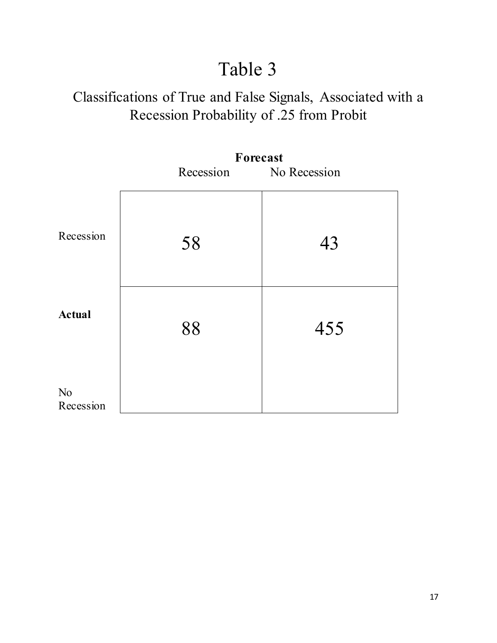## Table 3

## Classifications of True and False Signals, Associated with a Recession Probability of .25 from Probit

|                             | Forecast               |     |  |  |
|-----------------------------|------------------------|-----|--|--|
|                             | Recession No Recession |     |  |  |
| Recession                   | 58                     | 43  |  |  |
| <b>Actual</b>               | 88                     | 455 |  |  |
| N <sub>o</sub><br>Recession |                        |     |  |  |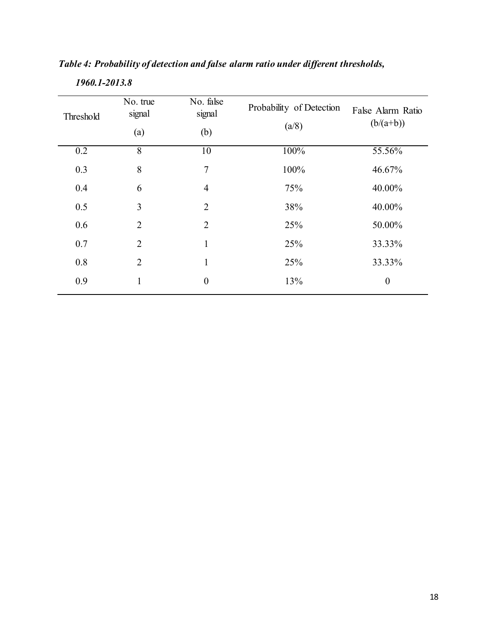| Threshold | No. true<br>signal<br>(a) | No. false<br>signal<br>(b) | Probability of Detection<br>(a/8) | False Alarm Ratio<br>$(b/(a+b))$ |
|-----------|---------------------------|----------------------------|-----------------------------------|----------------------------------|
| 0.2       | 8                         | 10                         | 100%                              | 55.56%                           |
| 0.3       | 8                         | $\overline{7}$             | 100%                              | 46.67%                           |
| 0.4       | 6                         | $\overline{4}$             | 75%                               | 40.00%                           |
| 0.5       | $\overline{3}$            | $\overline{2}$             | 38%                               | 40.00%                           |
| 0.6       | $\overline{2}$            | $\overline{2}$             | 25%                               | 50.00%                           |
| 0.7       | $\overline{2}$            | 1                          | 25%                               | 33.33%                           |
| 0.8       | $\overline{2}$            | 1                          | 25%                               | 33.33%                           |
| 0.9       | 1                         | $\boldsymbol{0}$           | 13%                               | $\boldsymbol{0}$                 |
|           |                           |                            |                                   |                                  |

#### *Table 4: Probability of detection and false alarm ratio under different thresholds,*

 *1960.1-2013.8*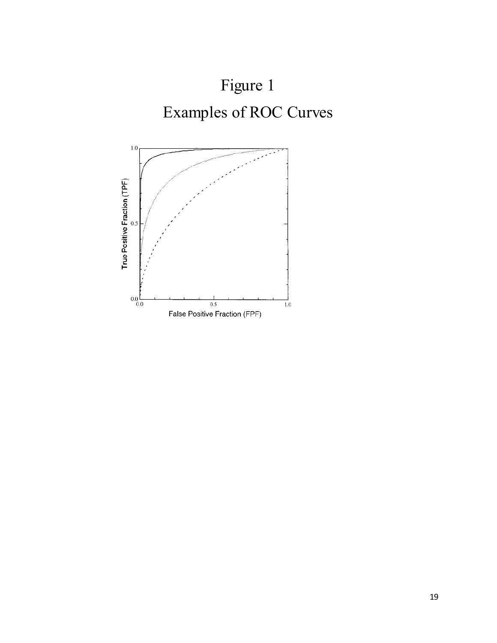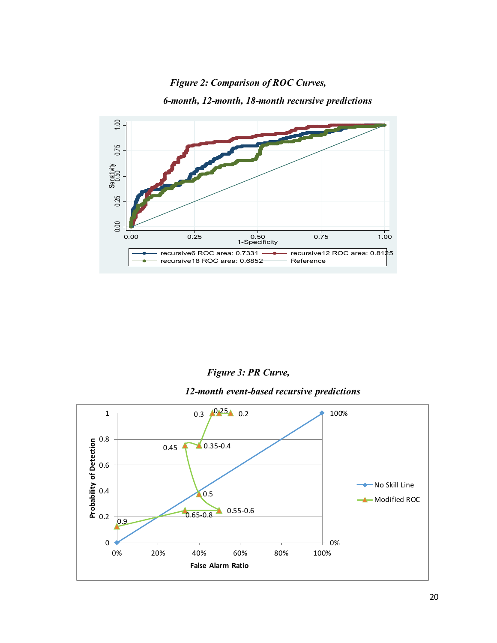#### *Figure 2: Comparison of ROC Curves,*





#### *Figure 3: PR Curve,*

#### *12-month event-based recursive predictions*

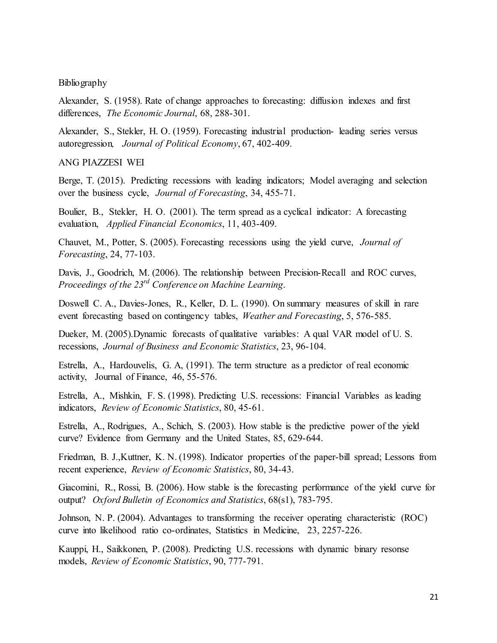#### Bibliography

Alexander, S. (1958). Rate of change approaches to forecasting: diffusion indexes and first differences, *The Economic Journal*, 68, 288-301.

Alexander, S., Stekler, H. O. (1959). Forecasting industrial production- leading series versus autoregression*, Journal of Political Economy*, 67, 402-409.

#### ANG PIAZZESI WEI

Berge, T. (2015). Predicting recessions with leading indicators; Model averaging and selection over the business cycle, *Journal of Forecasting*, 34, 455-71.

Boulier, B., Stekler, H. O. (2001). The term spread as a cyclical indicator: A forecasting evaluation, *Applied Financial Economics*, 11, 403-409.

Chauvet, M., Potter, S. (2005). Forecasting recessions using the yield curve, *Journal of Forecasting*, 24, 77-103.

Davis, J., Goodrich, M. (2006). The relationship between Precision-Recall and ROC curves, *Proceedings of the 23rd Conference on Machine Learning*.

Doswell C. A., Davies-Jones, R., Keller, D. L. (1990). On summary measures of skill in rare event forecasting based on contingency tables, *Weather and Forecasting*, 5, 576-585.

Dueker, M. (2005).Dynamic forecasts of qualitative variables: A qual VAR model of U. S. recessions, *Journal of Business and Economic Statistics*, 23, 96-104.

Estrella, A., Hardouvelis, G. A, (1991). The term structure as a predictor of real economic activity, Journal of Finance, 46, 55-576.

Estrella, A., Mishkin, F. S. (1998). Predicting U.S. recessions: Financial Variables as leading indicators, *Review of Economic Statistics*, 80, 45-61.

Estrella, A., Rodrigues, A., Schich, S. (2003). How stable is the predictive power of the yield curve? Evidence from Germany and the United States, 85, 629-644.

Friedman, B. J.,Kuttner, K. N. (1998). Indicator properties of the paper-bill spread; Lessons from recent experience, *Review of Economic Statistics*, 80, 34-43.

Giacomini, R., Rossi, B. (2006). How stable is the forecasting performance of the yield curve for output? *Oxford Bulletin of Economics and Statistics*, 68(s1), 783-795.

Johnson, N. P. (2004). Advantages to transforming the receiver operating characteristic (ROC) curve into likelihood ratio co-ordinates, Statistics in Medicine, 23, 2257-226.

Kauppi, H., Saikkonen, P. (2008). Predicting U.S. recessions with dynamic binary resonse models, *Review of Economic Statistics*, 90, 777-791.